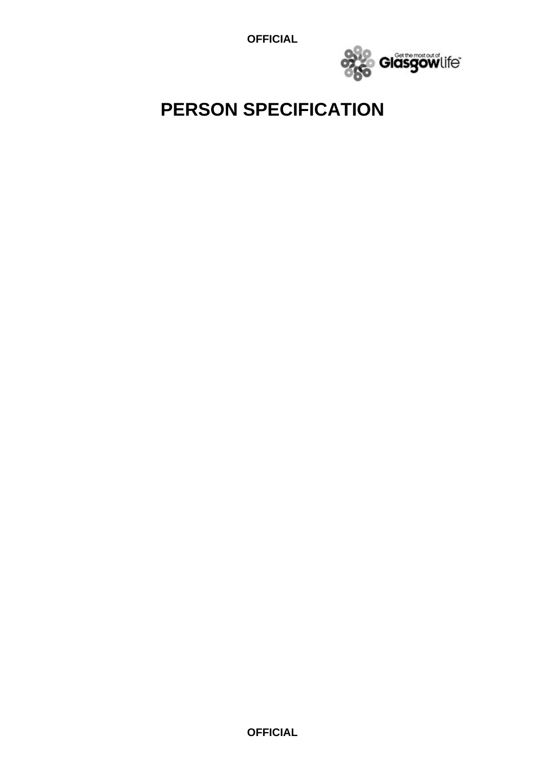**OFFICIAL**



## **PERSON SPECIFICATION**

**OFFICIAL**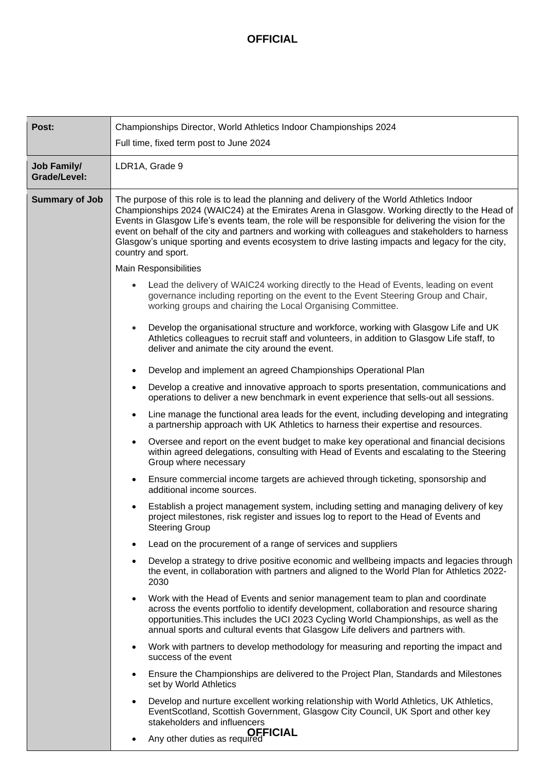## **OFFICIAL**

| Post:                              | Championships Director, World Athletics Indoor Championships 2024                                                                                                                                                                                                                                                                                                                                                                                                                                                                                           |  |  |
|------------------------------------|-------------------------------------------------------------------------------------------------------------------------------------------------------------------------------------------------------------------------------------------------------------------------------------------------------------------------------------------------------------------------------------------------------------------------------------------------------------------------------------------------------------------------------------------------------------|--|--|
|                                    | Full time, fixed term post to June 2024                                                                                                                                                                                                                                                                                                                                                                                                                                                                                                                     |  |  |
| <b>Job Family/</b><br>Grade/Level: | LDR1A, Grade 9                                                                                                                                                                                                                                                                                                                                                                                                                                                                                                                                              |  |  |
| <b>Summary of Job</b>              | The purpose of this role is to lead the planning and delivery of the World Athletics Indoor<br>Championships 2024 (WAIC24) at the Emirates Arena in Glasgow. Working directly to the Head of<br>Events in Glasgow Life's events team, the role will be responsible for delivering the vision for the<br>event on behalf of the city and partners and working with colleagues and stakeholders to harness<br>Glasgow's unique sporting and events ecosystem to drive lasting impacts and legacy for the city,<br>country and sport.<br>Main Responsibilities |  |  |
|                                    |                                                                                                                                                                                                                                                                                                                                                                                                                                                                                                                                                             |  |  |
|                                    | Lead the delivery of WAIC24 working directly to the Head of Events, leading on event<br>governance including reporting on the event to the Event Steering Group and Chair,<br>working groups and chairing the Local Organising Committee.                                                                                                                                                                                                                                                                                                                   |  |  |
|                                    | Develop the organisational structure and workforce, working with Glasgow Life and UK<br>$\bullet$<br>Athletics colleagues to recruit staff and volunteers, in addition to Glasgow Life staff, to<br>deliver and animate the city around the event.                                                                                                                                                                                                                                                                                                          |  |  |
|                                    | Develop and implement an agreed Championships Operational Plan<br>$\bullet$                                                                                                                                                                                                                                                                                                                                                                                                                                                                                 |  |  |
|                                    | Develop a creative and innovative approach to sports presentation, communications and<br>$\bullet$<br>operations to deliver a new benchmark in event experience that sells-out all sessions.                                                                                                                                                                                                                                                                                                                                                                |  |  |
|                                    | Line manage the functional area leads for the event, including developing and integrating<br>٠<br>a partnership approach with UK Athletics to harness their expertise and resources.                                                                                                                                                                                                                                                                                                                                                                        |  |  |
|                                    | Oversee and report on the event budget to make key operational and financial decisions<br>٠<br>within agreed delegations, consulting with Head of Events and escalating to the Steering<br>Group where necessary                                                                                                                                                                                                                                                                                                                                            |  |  |
|                                    | Ensure commercial income targets are achieved through ticketing, sponsorship and<br>$\bullet$<br>additional income sources.                                                                                                                                                                                                                                                                                                                                                                                                                                 |  |  |
|                                    | Establish a project management system, including setting and managing delivery of key<br>project milestones, risk register and issues log to report to the Head of Events and<br>Steering Group                                                                                                                                                                                                                                                                                                                                                             |  |  |
|                                    | Lead on the procurement of a range of services and suppliers                                                                                                                                                                                                                                                                                                                                                                                                                                                                                                |  |  |
|                                    | Develop a strategy to drive positive economic and wellbeing impacts and legacies through<br>the event, in collaboration with partners and aligned to the World Plan for Athletics 2022-<br>2030                                                                                                                                                                                                                                                                                                                                                             |  |  |
|                                    | Work with the Head of Events and senior management team to plan and coordinate<br>$\bullet$<br>across the events portfolio to identify development, collaboration and resource sharing<br>opportunities. This includes the UCI 2023 Cycling World Championships, as well as the<br>annual sports and cultural events that Glasgow Life delivers and partners with.                                                                                                                                                                                          |  |  |
|                                    | Work with partners to develop methodology for measuring and reporting the impact and<br>$\bullet$<br>success of the event                                                                                                                                                                                                                                                                                                                                                                                                                                   |  |  |
|                                    | Ensure the Championships are delivered to the Project Plan, Standards and Milestones<br>$\bullet$<br>set by World Athletics                                                                                                                                                                                                                                                                                                                                                                                                                                 |  |  |
|                                    | Develop and nurture excellent working relationship with World Athletics, UK Athletics,<br>$\bullet$<br>EventScotland, Scottish Government, Glasgow City Council, UK Sport and other key<br>stakeholders and influencers<br><b>OFFICIAL</b><br>Any other duties as required                                                                                                                                                                                                                                                                                  |  |  |
|                                    | $\bullet$                                                                                                                                                                                                                                                                                                                                                                                                                                                                                                                                                   |  |  |